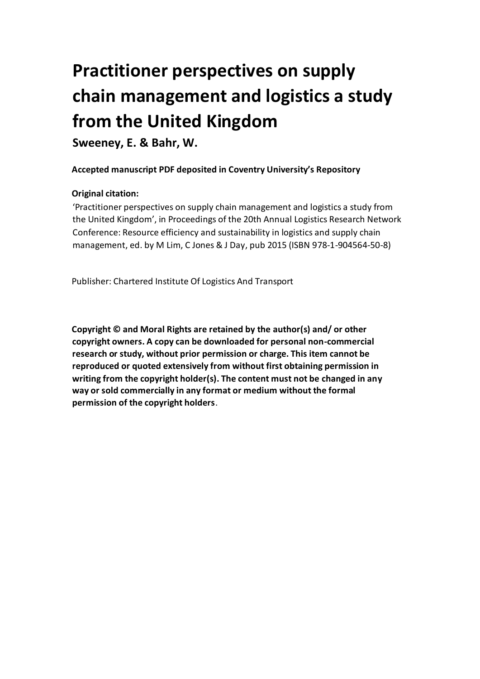# **Practitioner perspectives on supply chain management and logistics a study from the United Kingdom**

**Sweeney, E. & Bahr, W.**

# **Accepted manuscript PDF deposited in Coventry University's Repository**

# **Original citation:**

'Practitioner perspectives on supply chain management and logistics a study from the United Kingdom', in Proceedings of the 20th Annual Logistics Research Network Conference: Resource efficiency and sustainability in logistics and supply chain management, ed. by M Lim, C Jones & J Day, pub 2015 (ISBN 978-1-904564-50-8)

Publisher: Chartered Institute Of Logistics And Transport

**Copyright © and Moral Rights are retained by the author(s) and/ or other copyright owners. A copy can be downloaded for personal non-commercial research or study, without prior permission or charge. This item cannot be reproduced or quoted extensively from without first obtaining permission in writing from the copyright holder(s). The content must not be changed in any way or sold commercially in any format or medium without the formal permission of the copyright holders**.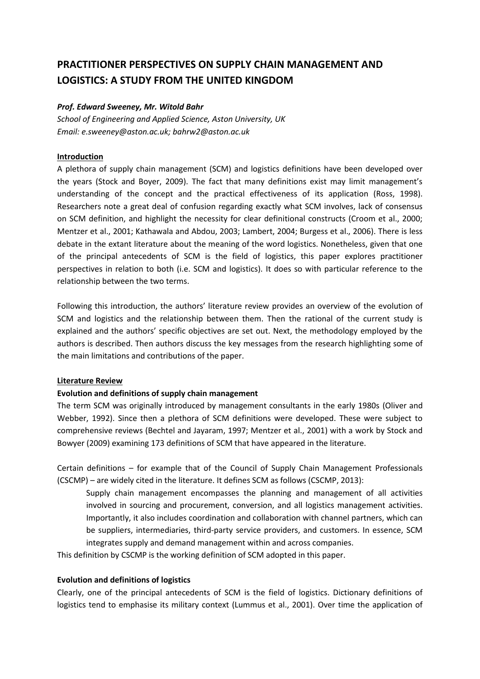# **PRACTITIONER PERSPECTIVES ON SUPPLY CHAIN MANAGEMENT AND LOGISTICS: A STUDY FROM THE UNITED KINGDOM**

#### *Prof. Edward Sweeney, Mr. Witold Bahr*

*School of Engineering and Applied Science, Aston University, UK Email: e.sweeney@aston.ac.uk; bahrw2@aston.ac.uk*

#### **Introduction**

A plethora of supply chain management (SCM) and logistics definitions have been developed over the years (Stock and Boyer, 2009). The fact that many definitions exist may limit management's understanding of the concept and the practical effectiveness of its application (Ross, 1998). Researchers note a great deal of confusion regarding exactly what SCM involves, lack of consensus on SCM definition, and highlight the necessity for clear definitional constructs (Croom et al., 2000; Mentzer et al., 2001; Kathawala and Abdou, 2003; Lambert, 2004; Burgess et al., 2006). There is less debate in the extant literature about the meaning of the word logistics. Nonetheless, given that one of the principal antecedents of SCM is the field of logistics, this paper explores practitioner perspectives in relation to both (i.e. SCM and logistics). It does so with particular reference to the relationship between the two terms.

Following this introduction, the authors' literature review provides an overview of the evolution of SCM and logistics and the relationship between them. Then the rational of the current study is explained and the authors' specific objectives are set out. Next, the methodology employed by the authors is described. Then authors discuss the key messages from the research highlighting some of the main limitations and contributions of the paper.

#### **Literature Review**

# **Evolution and definitions of supply chain management**

The term SCM was originally introduced by management consultants in the early 1980s (Oliver and Webber, 1992). Since then a plethora of SCM definitions were developed. These were subject to comprehensive reviews (Bechtel and Jayaram, 1997; Mentzer et al., 2001) with a work by Stock and Bowyer (2009) examining 173 definitions of SCM that have appeared in the literature.

Certain definitions – for example that of the Council of Supply Chain Management Professionals (CSCMP) – are widely cited in the literature. It defines SCM as follows (CSCMP, 2013):

Supply chain management encompasses the planning and management of all activities involved in sourcing and procurement, conversion, and all logistics management activities. Importantly, it also includes coordination and collaboration with channel partners, which can be suppliers, intermediaries, third-party service providers, and customers. In essence, SCM integrates supply and demand management within and across companies.

This definition by CSCMP is the working definition of SCM adopted in this paper.

#### **Evolution and definitions of logistics**

Clearly, one of the principal antecedents of SCM is the field of logistics. Dictionary definitions of logistics tend to emphasise its military context (Lummus et al., 2001). Over time the application of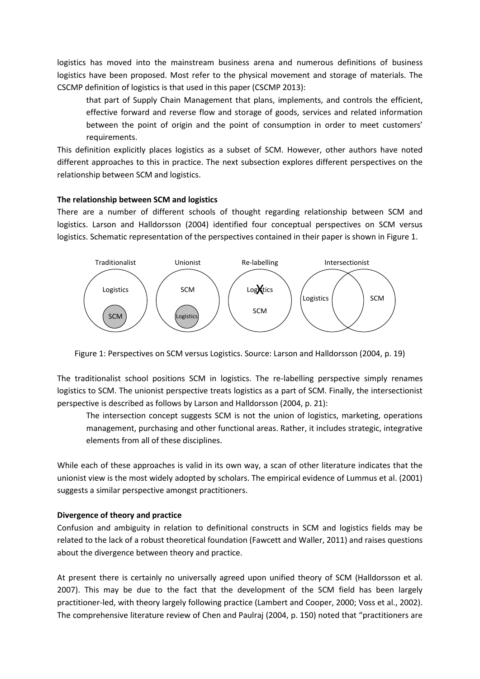logistics has moved into the mainstream business arena and numerous definitions of business logistics have been proposed. Most refer to the physical movement and storage of materials. The CSCMP definition of logistics is that used in this paper (CSCMP 2013):

that part of Supply Chain Management that plans, implements, and controls the efficient, effective forward and reverse flow and storage of goods, services and related information between the point of origin and the point of consumption in order to meet customers' requirements.

This definition explicitly places logistics as a subset of SCM. However, other authors have noted different approaches to this in practice. The next subsection explores different perspectives on the relationship between SCM and logistics.

#### **The relationship between SCM and logistics**

There are a number of different schools of thought regarding relationship between SCM and logistics. Larson and Halldorsson (2004) identified four conceptual perspectives on SCM versus logistics. Schematic representation of the perspectives contained in their paper is shown in Figure 1.



Figure 1: Perspectives on SCM versus Logistics. Source: Larson and Halldorsson (2004, p. 19)

The traditionalist school positions SCM in logistics. The re-labelling perspective simply renames logistics to SCM. The unionist perspective treats logistics as a part of SCM. Finally, the intersectionist perspective is described as follows by Larson and Halldorsson (2004, p. 21):

The intersection concept suggests SCM is not the union of logistics, marketing, operations management, purchasing and other functional areas. Rather, it includes strategic, integrative elements from all of these disciplines.

While each of these approaches is valid in its own way, a scan of other literature indicates that the unionist view is the most widely adopted by scholars. The empirical evidence of Lummus et al. (2001) suggests a similar perspective amongst practitioners.

#### **Divergence of theory and practice**

Confusion and ambiguity in relation to definitional constructs in SCM and logistics fields may be related to the lack of a robust theoretical foundation (Fawcett and Waller, 2011) and raises questions about the divergence between theory and practice.

At present there is certainly no universally agreed upon unified theory of SCM (Halldorsson et al. 2007). This may be due to the fact that the development of the SCM field has been largely practitioner-led, with theory largely following practice (Lambert and Cooper, 2000; Voss et al., 2002). The comprehensive literature review of Chen and Paulraj (2004, p. 150) noted that "practitioners are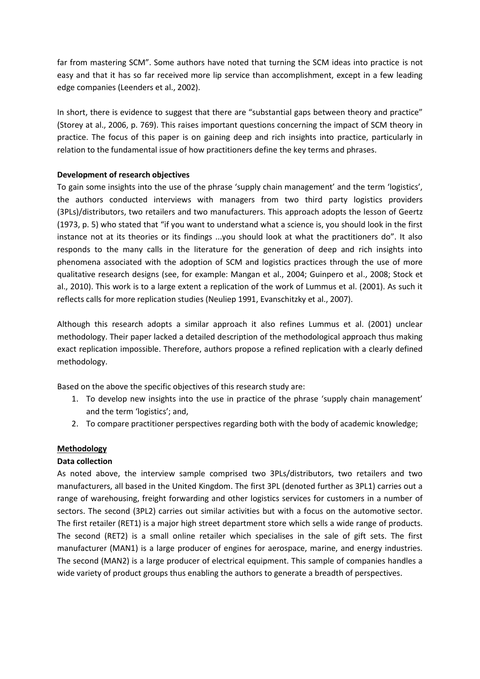far from mastering SCM". Some authors have noted that turning the SCM ideas into practice is not easy and that it has so far received more lip service than accomplishment, except in a few leading edge companies (Leenders et al., 2002).

In short, there is evidence to suggest that there are "substantial gaps between theory and practice" (Storey at al., 2006, p. 769). This raises important questions concerning the impact of SCM theory in practice. The focus of this paper is on gaining deep and rich insights into practice, particularly in relation to the fundamental issue of how practitioners define the key terms and phrases.

#### **Development of research objectives**

To gain some insights into the use of the phrase 'supply chain management' and the term 'logistics', the authors conducted interviews with managers from two third party logistics providers (3PLs)/distributors, two retailers and two manufacturers. This approach adopts the lesson of Geertz (1973, p. 5) who stated that "if you want to understand what a science is, you should look in the first instance not at its theories or its findings ...you should look at what the practitioners do". It also responds to the many calls in the literature for the generation of deep and rich insights into phenomena associated with the adoption of SCM and logistics practices through the use of more qualitative research designs (see, for example: Mangan et al., 2004; Guinpero et al., 2008; Stock et al., 2010). This work is to a large extent a replication of the work of Lummus et al. (2001). As such it reflects calls for more replication studies (Neuliep 1991, Evanschitzky et al., 2007).

Although this research adopts a similar approach it also refines Lummus et al. (2001) unclear methodology. Their paper lacked a detailed description of the methodological approach thus making exact replication impossible. Therefore, authors propose a refined replication with a clearly defined methodology.

Based on the above the specific objectives of this research study are:

- 1. To develop new insights into the use in practice of the phrase 'supply chain management' and the term 'logistics'; and,
- 2. To compare practitioner perspectives regarding both with the body of academic knowledge;

#### **Methodology**

#### **Data collection**

As noted above, the interview sample comprised two 3PLs/distributors, two retailers and two manufacturers, all based in the United Kingdom. The first 3PL (denoted further as 3PL1) carries out a range of warehousing, freight forwarding and other logistics services for customers in a number of sectors. The second (3PL2) carries out similar activities but with a focus on the automotive sector. The first retailer (RET1) is a major high street department store which sells a wide range of products. The second (RET2) is a small online retailer which specialises in the sale of gift sets. The first manufacturer (MAN1) is a large producer of engines for aerospace, marine, and energy industries. The second (MAN2) is a large producer of electrical equipment. This sample of companies handles a wide variety of product groups thus enabling the authors to generate a breadth of perspectives.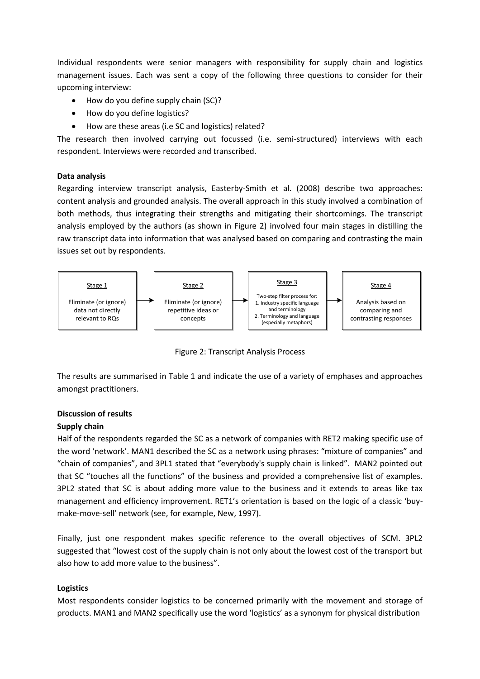Individual respondents were senior managers with responsibility for supply chain and logistics management issues. Each was sent a copy of the following three questions to consider for their upcoming interview:

- How do you define supply chain (SC)?
- How do you define logistics?
- How are these areas (i.e SC and logistics) related?

The research then involved carrying out focussed (i.e. semi-structured) interviews with each respondent. Interviews were recorded and transcribed.

#### **Data analysis**

Regarding interview transcript analysis, Easterby-Smith et al. (2008) describe two approaches: content analysis and grounded analysis. The overall approach in this study involved a combination of both methods, thus integrating their strengths and mitigating their shortcomings. The transcript analysis employed by the authors (as shown in Figure 2) involved four main stages in distilling the raw transcript data into information that was analysed based on comparing and contrasting the main issues set out by respondents.



Figure 2: Transcript Analysis Process

The results are summarised in Table 1 and indicate the use of a variety of emphases and approaches amongst practitioners.

#### **Discussion of results**

# **Supply chain**

Half of the respondents regarded the SC as a network of companies with RET2 making specific use of the word 'network'. MAN1 described the SC as a network using phrases: "mixture of companies" and "chain of companies", and 3PL1 stated that "everybody's supply chain is linked". MAN2 pointed out that SC "touches all the functions" of the business and provided a comprehensive list of examples. 3PL2 stated that SC is about adding more value to the business and it extends to areas like tax management and efficiency improvement. RET1's orientation is based on the logic of a classic 'buymake-move-sell' network (see, for example, New, 1997).

Finally, just one respondent makes specific reference to the overall objectives of SCM. 3PL2 suggested that "lowest cost of the supply chain is not only about the lowest cost of the transport but also how to add more value to the business".

# **Logistics**

Most respondents consider logistics to be concerned primarily with the movement and storage of products. MAN1 and MAN2 specifically use the word 'logistics' as a synonym for physical distribution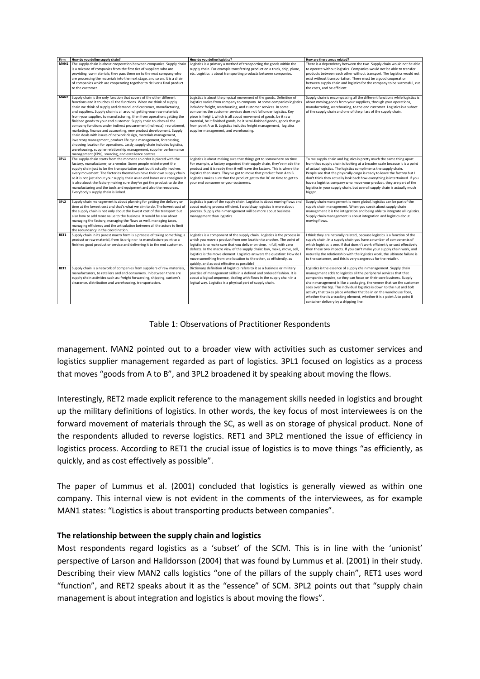| Firm             | How do you define supply chain?                                             | How do you define logistics?                                               | How are these areas related?                                                 |
|------------------|-----------------------------------------------------------------------------|----------------------------------------------------------------------------|------------------------------------------------------------------------------|
| MAN1             | The supply chain is about cooperation between companies. Supply chain       | Logistics is a primary a method of transporting the goods within the       | There is a dependency between the two. Supply chain would not be able        |
|                  | is a mixture of companies from the first tier of suppliers who are          | supply chain. For example transferring product on a truck, ship, plane,    | to operate without logistics. Companies would not be able to transfer        |
|                  | providing raw materials; they pass them on to the next company who          | etc. Logistics is about transporting products between companies.           | products between each other without transport. The logistics would not       |
|                  | are processing the materials into the next stage, and so on. It is a chain  |                                                                            | exist without transportation. There must be a good cooperation               |
|                  | of companies which are cooperating together to deliver a final product      |                                                                            | between supply chain and logistics for the company to be successful, cut     |
|                  | to the customer.                                                            |                                                                            | the costs, and be efficient.                                                 |
|                  |                                                                             |                                                                            |                                                                              |
| MAN2             | Supply chain is the only function that covers of the other different        | Logistics is about the physical movement of the goods. Definition of       | Supply chain is encompassing all the different functions while logistics is  |
|                  | functions and it touches all the functions. When we think of supply         | logistics varies from company to company. At some companies logistics      | about moving goods from your suppliers, through your operations,             |
|                  | chain we think of supply and demand, end customer, manufacturing,           | includes: freight, warehousing, and customer services. In some             | manufacturing, warehousing, to the end customer. Logistics is a subset       |
|                  | and suppliers. Supply chain is all around, getting your raw materials       | companies the customer services does not fall under logistics. Key         | of the supply chain and one of the pillars of the supply chain.              |
|                  | from your supplier, to manufacturing, then from operations getting the      | piece is freight, which is all about movement of goods, be it raw          |                                                                              |
|                  | finished goods to your end customer. Supply chain touches all the           | material, be it finished goods, be it semi-finished goods, goods that go   |                                                                              |
|                  | company functions under indirect procurement (indirects): recruitment,      | from point A to B. Logistics includes freight management, logistics        |                                                                              |
|                  | marketing, finance and accounting, new product development. Supply          | supplier management, and warehousing.                                      |                                                                              |
|                  | chain deals with issues of network design, materials management,            |                                                                            |                                                                              |
|                  |                                                                             |                                                                            |                                                                              |
|                  | inventory management, product life cycle management, forecasting,           |                                                                            |                                                                              |
|                  | choosing location for operations. Lastly, supply chain includes logistics,  |                                                                            |                                                                              |
|                  | warehousing, supplier relationship management, supplier performance         |                                                                            |                                                                              |
|                  | management (KPIs), sourcing, and excellence centres.                        |                                                                            |                                                                              |
| 3PL1             | The supply chain starts from the moment an order is placed with the         | Logistics is about making sure that things get to somewhere on time.       | To me supply chain and logistics is pretty much the same thing apart         |
|                  | factory, manufacturer, or a vendor. Some people misinterpret the            | For example, a factory organised their supply chain, they've made the      | from that supply chain is looking at a broader scale because it is a point   |
|                  | supply chain just to be the transportation part but it actually involves    | product and it is ready then it will leave the factory. This is where the  | of actual logistics. The logistics compliments the supply chain.             |
|                  | every movement. The factories themselves have their own supply chain        | logistics then starts. They've got to move that product from A to B.       | People see that the physically cargo is ready to leave the factory but I     |
|                  | so it is not just about your supply chain as an end buyer or a consignee it | Logistics makes sure that the product got to the DC on time to get to      | don't think they actually look back how everything is intertwined. If you    |
|                  | is also about the factory making sure they've got the product to do the     | your end consumer or your customers.                                       | have a logistics company who move your product, they are part of the         |
|                  | manufacturing and the tools and equipment and also the resources.           |                                                                            | logistics in your supply chain, but overall supply chain is actually much    |
|                  | Everybody's supply chain is linked.                                         |                                                                            | bigger.                                                                      |
|                  |                                                                             |                                                                            |                                                                              |
| 3PL <sub>2</sub> | Supply chain management is about planning for getting the delivery on       | Logistics is part of the supply chain. Logistics is about moving flows and | Supply chain management is more global, logistics can be part of the         |
|                  | time at the lowest cost and that's what we aim to do. The lowest cost of    | about making process efficient. I would say logistics is more about        | supply chain management. When you speak about supply chain                   |
|                  | the supply chain is not only about the lowest cost of the transport but     | process. Supply chain management will be more about business               | management it is the integration and being able to integrate all logistics.  |
|                  | also how to add more value to the business. It would be also about          | management than logistics.                                                 | Supply chain management is about integration and logistics about             |
|                  | managing the factory, managing the flows as well, managing taxes,           |                                                                            | moving flows.                                                                |
|                  | managing efficiency and the articulation between all the actors to limit    |                                                                            |                                                                              |
|                  | the redundancy in the coordination.                                         |                                                                            |                                                                              |
| RET1             | Supply chain in its purest macro form is a process of taking something, a   | Logistics is a component of the supply chain. Logistics is the process in  | I think they are naturally related, because logistics is a function of the   |
|                  | product or raw material, from its origin or its manufacture point to a      | which you move a product from one location to another. The point of        | supply chain. In a supply chain you have a number of components of           |
|                  | finished good product or service and delivering it to the end customer.     | logistics is to make sure that you deliver on time, in full, with zero     | which logistics is one. If that doesn't work efficiently or cost effectively |
|                  |                                                                             | defects. In the macro view of the supply chain: buy, make, move, sell,     | then these two impacts. If you can't make your supply chain work, and        |
|                  |                                                                             | logistics is the move element. Logistics answers the question: How do I    | naturally the relationship with the logistics work, the ultimate failure is  |
|                  |                                                                             | move something from one location to the other, as efficiently, as          | to the customer, and this is very dangerous for the retailer.                |
|                  |                                                                             | quickly, and as cost effective as possible?                                |                                                                              |
| RET2             | Supply chain is a network of companies from suppliers of raw materials,     | Dictionary definition of logistics refers to it as a business or military  | Logistics is the essence of supply chain management. Supply chain            |
|                  |                                                                             |                                                                            |                                                                              |
|                  | manufacturers, to retailers and end consumers. In between there are         | practice of management skills in a defined and ordered fashion. It is      | management adds to logistics all the peripheral services that that           |
|                  | supply chain activities such as: freight forwarding, shipping, custom's     | about a logical sequence, dealing with flows in the supply chain in a      | companies require, so they can focus on their core business. Supply          |
|                  | clearance, distribution and warehousing, transportation.                    | logical way. Logistics is a physical part of supply chain.                 | chain management is like a packaging, the veneer that we the customer        |
|                  |                                                                             |                                                                            | sees over the top. The individual logistics is down to the nut and bolt      |
|                  |                                                                             |                                                                            | activity that takes place whether that be in on the warehouse floor,         |
|                  |                                                                             |                                                                            | whether that is a tracking element, whether it is a point A to point B       |
|                  |                                                                             |                                                                            | container delivery by a shipping line.                                       |

Table 1: Observations of Practitioner Respondents

management. MAN2 pointed out to a broader view with activities such as customer services and logistics supplier management regarded as part of logistics. 3PL1 focused on logistics as a process that moves "goods from A to B", and 3PL2 broadened it by speaking about moving the flows.

Interestingly, RET2 made explicit reference to the management skills needed in logistics and brought up the military definitions of logistics. In other words, the key focus of most interviewees is on the forward movement of materials through the SC, as well as on storage of physical product. None of the respondents alluded to reverse logistics. RET1 and 3PL2 mentioned the issue of efficiency in logistics process. According to RET1 the crucial issue of logistics is to move things "as efficiently, as quickly, and as cost effectively as possible".

The paper of Lummus et al. (2001) concluded that logistics is generally viewed as within one company. This internal view is not evident in the comments of the interviewees, as for example MAN1 states: "Logistics is about transporting products between companies".

#### **The relationship between the supply chain and logistics**

Most respondents regard logistics as a 'subset' of the SCM. This is in line with the 'unionist' perspective of Larson and Halldorsson (2004) that was found by Lummus et al. (2001) in their study. Describing their view MAN2 calls logistics "one of the pillars of the supply chain", RET1 uses word "function", and RET2 speaks about it as the "essence" of SCM. 3PL2 points out that "supply chain management is about integration and logistics is about moving the flows".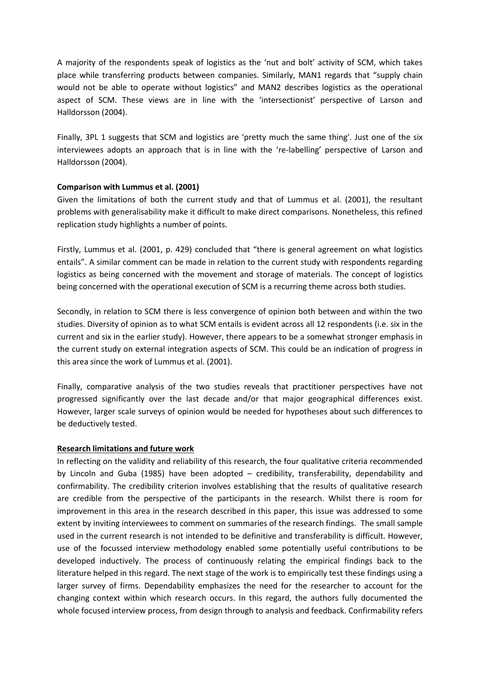A majority of the respondents speak of logistics as the 'nut and bolt' activity of SCM, which takes place while transferring products between companies. Similarly, MAN1 regards that "supply chain would not be able to operate without logistics" and MAN2 describes logistics as the operational aspect of SCM. These views are in line with the 'intersectionist' perspective of Larson and Halldorsson (2004).

Finally, 3PL 1 suggests that SCM and logistics are 'pretty much the same thing'. Just one of the six interviewees adopts an approach that is in line with the 're-labelling' perspective of Larson and Halldorsson (2004).

#### **Comparison with Lummus et al. (2001)**

Given the limitations of both the current study and that of Lummus et al. (2001), the resultant problems with generalisability make it difficult to make direct comparisons. Nonetheless, this refined replication study highlights a number of points.

Firstly, Lummus et al. (2001, p. 429) concluded that "there is general agreement on what logistics entails". A similar comment can be made in relation to the current study with respondents regarding logistics as being concerned with the movement and storage of materials. The concept of logistics being concerned with the operational execution of SCM is a recurring theme across both studies.

Secondly, in relation to SCM there is less convergence of opinion both between and within the two studies. Diversity of opinion as to what SCM entails is evident across all 12 respondents (i.e. six in the current and six in the earlier study). However, there appears to be a somewhat stronger emphasis in the current study on external integration aspects of SCM. This could be an indication of progress in this area since the work of Lummus et al. (2001).

Finally, comparative analysis of the two studies reveals that practitioner perspectives have not progressed significantly over the last decade and/or that major geographical differences exist. However, larger scale surveys of opinion would be needed for hypotheses about such differences to be deductively tested.

#### **Research limitations and future work**

In reflecting on the validity and reliability of this research, the four qualitative criteria recommended by Lincoln and Guba (1985) have been adopted – credibility, transferability, dependability and confirmability. The credibility criterion involves establishing that the results of qualitative research are credible from the perspective of the participants in the research. Whilst there is room for improvement in this area in the research described in this paper, this issue was addressed to some extent by inviting interviewees to comment on summaries of the research findings. The small sample used in the current research is not intended to be definitive and transferability is difficult. However, use of the focussed interview methodology enabled some potentially useful contributions to be developed inductively. The process of continuously relating the empirical findings back to the literature helped in this regard. The next stage of the work is to empirically test these findings using a larger survey of firms. Dependability emphasizes the need for the researcher to account for the changing context within which research occurs. In this regard, the authors fully documented the whole focused interview process, from design through to analysis and feedback. Confirmability refers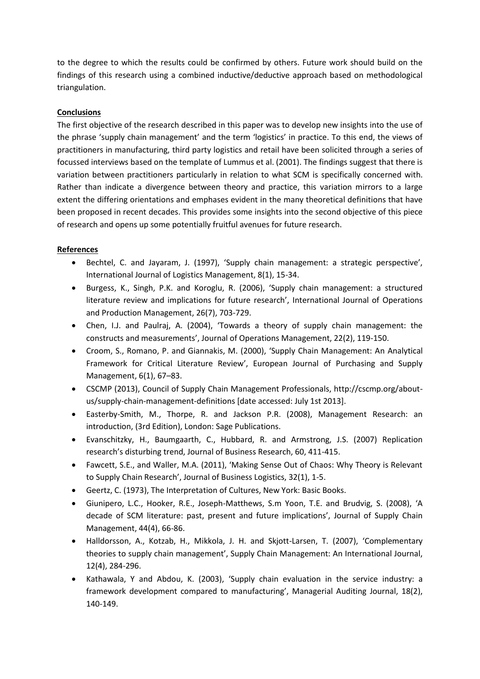to the degree to which the results could be confirmed by others. Future work should build on the findings of this research using a combined inductive/deductive approach based on methodological triangulation.

# **Conclusions**

The first objective of the research described in this paper was to develop new insights into the use of the phrase 'supply chain management' and the term 'logistics' in practice. To this end, the views of practitioners in manufacturing, third party logistics and retail have been solicited through a series of focussed interviews based on the template of Lummus et al. (2001). The findings suggest that there is variation between practitioners particularly in relation to what SCM is specifically concerned with. Rather than indicate a divergence between theory and practice, this variation mirrors to a large extent the differing orientations and emphases evident in the many theoretical definitions that have been proposed in recent decades. This provides some insights into the second objective of this piece of research and opens up some potentially fruitful avenues for future research.

# **References**

- Bechtel, C. and Jayaram, J. (1997), 'Supply chain management: a strategic perspective', International Journal of Logistics Management, 8(1), 15-34.
- Burgess, K., Singh, P.K. and Koroglu, R. (2006), 'Supply chain management: a structured literature review and implications for future research', International Journal of Operations and Production Management, 26(7), 703-729.
- Chen, I.J. and Paulraj, A. (2004), 'Towards a theory of supply chain management: the constructs and measurements', Journal of Operations Management, 22(2), 119-150.
- Croom, S., Romano, P. and Giannakis, M. (2000), 'Supply Chain Management: An Analytical Framework for Critical Literature Review', European Journal of Purchasing and Supply Management, 6(1), 67–83.
- CSCMP (2013), Council of Supply Chain Management Professionals, http://cscmp.org/aboutus/supply-chain-management-definitions [date accessed: July 1st 2013].
- Easterby-Smith, M., Thorpe, R. and Jackson P.R. (2008), Management Research: an introduction, (3rd Edition), London: Sage Publications.
- Evanschitzky, H., Baumgaarth, C., Hubbard, R. and Armstrong, J.S. (2007) Replication research's disturbing trend, Journal of Business Research, 60, 411-415.
- Fawcett, S.E., and Waller, M.A. (2011), 'Making Sense Out of Chaos: Why Theory is Relevant to Supply Chain Research', Journal of Business Logistics, 32(1), 1-5.
- Geertz, C. (1973), The Interpretation of Cultures, New York: Basic Books.
- Giunipero, L.C., Hooker, R.E., Joseph-Matthews, S.m Yoon, T.E. and Brudvig, S. (2008), 'A decade of SCM literature: past, present and future implications', Journal of Supply Chain Management, 44(4), 66-86.
- Halldorsson, A., Kotzab, H., Mikkola, J. H. and Skjott-Larsen, T. (2007), 'Complementary theories to supply chain management', Supply Chain Management: An International Journal, 12(4), 284-296.
- Kathawala, Y and Abdou, K. (2003), 'Supply chain evaluation in the service industry: a framework development compared to manufacturing', Managerial Auditing Journal, 18(2), 140-149.